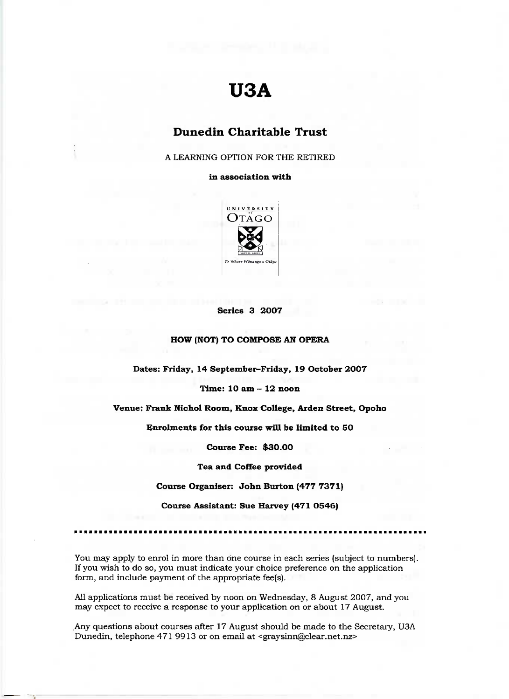# **U3A**

# **Dunedin Charitable Trust**

A LEARNING OPTION FOR THE RETIRED

**in association with**



### **Series 3 2007**

# **HOW (NOT) TO COMPOSE AN OPERA**

**Dates: Friday, 14 September-Friday, 19 October 2007**

**Time: 10 am - 12 noon**

**Venue; Frank Nichol Room, Knox College, Arden Street, Opoho**

**Enrolments for this course will be limited to 50**

**Course Fee: \$30.00**

**Tea and** Coffee **provided**

**Course Organiser: John Burton (477 7371)**

**Course Assistant: Sue Harvey (471 0546)**

You may apply to enrol in more than one course in each series (subject to numbers). If you wish to do so, you must indicate your choice preference on the application form, and include payment of the appropriate fee(s).

All applications must be received by noon on Wednesday, 8 August 2007, and you may expect to receive a response to your application on or about 17 August.

.Any questions about courses after 17 August should be made to the Secretary, U3A Dunedin, telephone 471 9913 or on email at <graysinn@clear.net.nz>